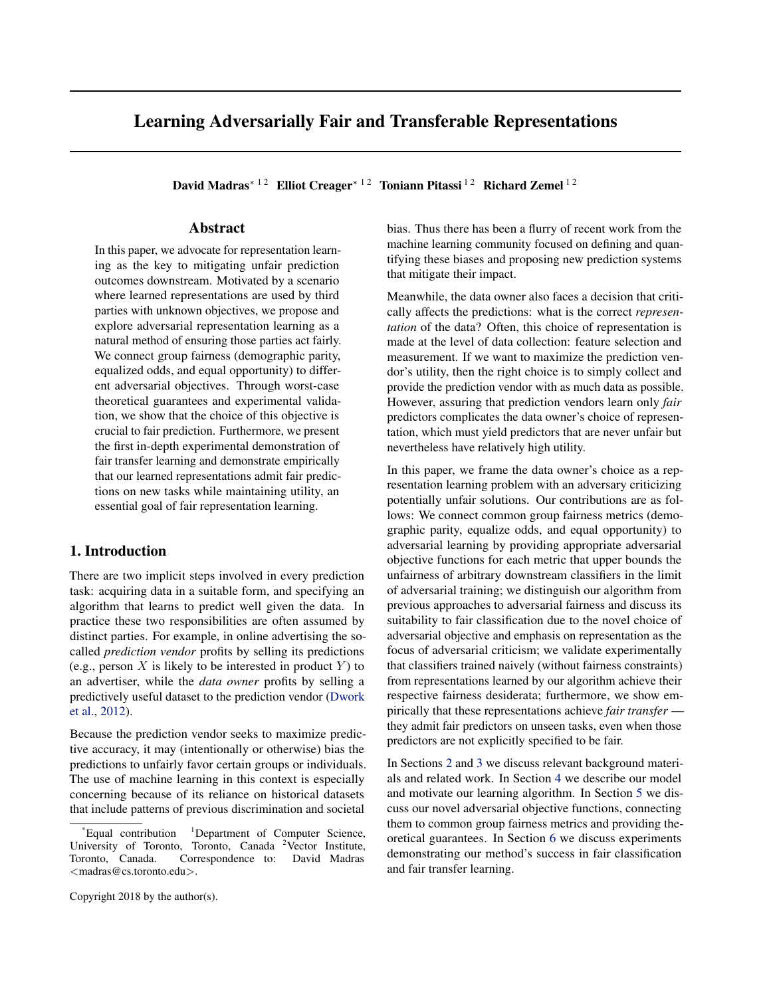# <span id="page-0-0"></span>Learning Adversarially Fair and Transferable Representations

David Madras<sup>\* 12</sup> Elliot Creager<sup>\* 12</sup> Toniann Pitassi<sup>12</sup> Richard Zemel<sup>12</sup>

# Abstract

In this paper, we advocate for representation learning as the key to mitigating unfair prediction outcomes downstream. Motivated by a scenario where learned representations are used by third parties with unknown objectives, we propose and explore adversarial representation learning as a natural method of ensuring those parties act fairly. We connect group fairness (demographic parity, equalized odds, and equal opportunity) to different adversarial objectives. Through worst-case theoretical guarantees and experimental validation, we show that the choice of this objective is crucial to fair prediction. Furthermore, we present the first in-depth experimental demonstration of fair transfer learning and demonstrate empirically that our learned representations admit fair predictions on new tasks while maintaining utility, an essential goal of fair representation learning.

# 1. Introduction

There are two implicit steps involved in every prediction task: acquiring data in a suitable form, and specifying an algorithm that learns to predict well given the data. In practice these two responsibilities are often assumed by distinct parties. For example, in online advertising the socalled *prediction vendor* profits by selling its predictions (e.g., person X is likely to be interested in product Y) to an advertiser, while the *data owner* profits by selling a predictively useful dataset to the prediction vendor [\(Dwork](#page-8-0) [et al.,](#page-8-0) [2012\)](#page-8-0).

Because the prediction vendor seeks to maximize predictive accuracy, it may (intentionally or otherwise) bias the predictions to unfairly favor certain groups or individuals. The use of machine learning in this context is especially concerning because of its reliance on historical datasets that include patterns of previous discrimination and societal

bias. Thus there has been a flurry of recent work from the machine learning community focused on defining and quantifying these biases and proposing new prediction systems that mitigate their impact.

Meanwhile, the data owner also faces a decision that critically affects the predictions: what is the correct *representation* of the data? Often, this choice of representation is made at the level of data collection: feature selection and measurement. If we want to maximize the prediction vendor's utility, then the right choice is to simply collect and provide the prediction vendor with as much data as possible. However, assuring that prediction vendors learn only *fair* predictors complicates the data owner's choice of representation, which must yield predictors that are never unfair but nevertheless have relatively high utility.

In this paper, we frame the data owner's choice as a representation learning problem with an adversary criticizing potentially unfair solutions. Our contributions are as follows: We connect common group fairness metrics (demographic parity, equalize odds, and equal opportunity) to adversarial learning by providing appropriate adversarial objective functions for each metric that upper bounds the unfairness of arbitrary downstream classifiers in the limit of adversarial training; we distinguish our algorithm from previous approaches to adversarial fairness and discuss its suitability to fair classification due to the novel choice of adversarial objective and emphasis on representation as the focus of adversarial criticism; we validate experimentally that classifiers trained naively (without fairness constraints) from representations learned by our algorithm achieve their respective fairness desiderata; furthermore, we show empirically that these representations achieve *fair transfer* they admit fair predictors on unseen tasks, even when those predictors are not explicitly specified to be fair.

In Sections [2](#page-1-0) and [3](#page-1-0) we discuss relevant background materials and related work. In Section [4](#page-2-0) we describe our model and motivate our learning algorithm. In Section [5](#page-3-0) we discuss our novel adversarial objective functions, connecting them to common group fairness metrics and providing theoretical guarantees. In Section [6](#page-5-0) we discuss experiments demonstrating our method's success in fair classification and fair transfer learning.

Copyright 2018 by the author(s).

 $E$ qual contribution  $1$ Department of Computer Science, University of Toronto, Toronto, Canada <sup>2</sup>Vector Institute, Toronto, Canada. Correspondence to: David Madras <madras@cs.toronto.edu>.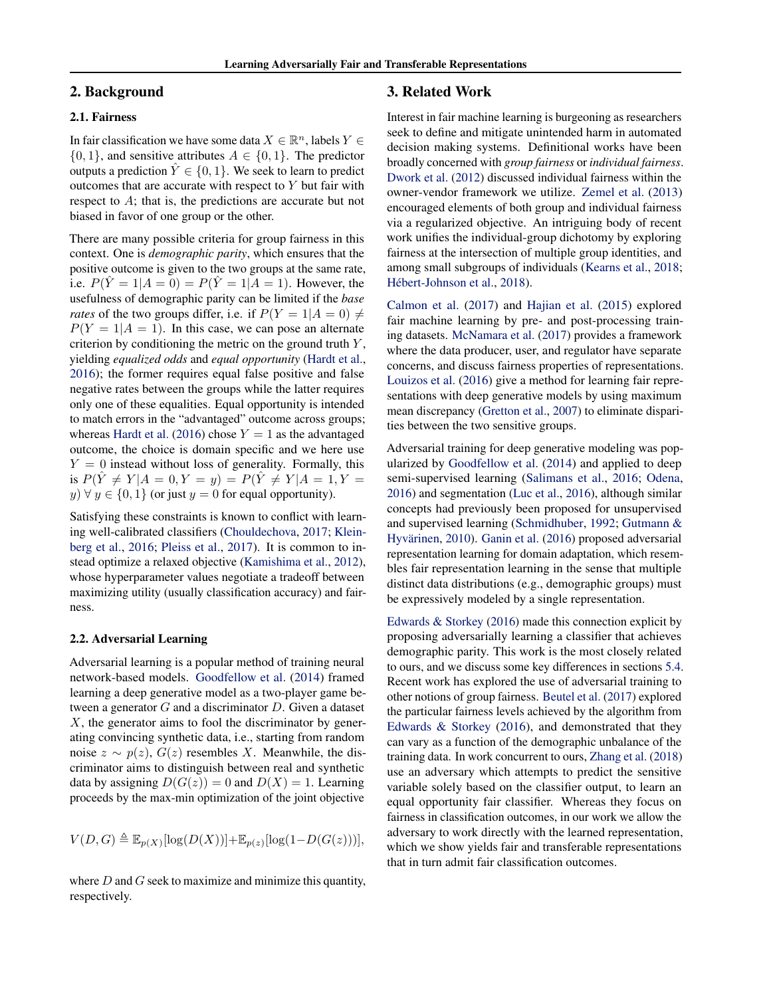# <span id="page-1-0"></span>2. Background

### 2.1. Fairness

In fair classification we have some data  $X \in \mathbb{R}^n$ , labels  $Y \in$  $\{0, 1\}$ , and sensitive attributes  $A \in \{0, 1\}$ . The predictor outputs a prediction  $\hat{Y} \in \{0, 1\}$ . We seek to learn to predict outcomes that are accurate with respect to  $Y$  but fair with respect to A; that is, the predictions are accurate but not biased in favor of one group or the other.

There are many possible criteria for group fairness in this context. One is *demographic parity*, which ensures that the positive outcome is given to the two groups at the same rate, i.e.  $P(\hat{Y} = 1 | A = 0) = P(\hat{Y} = 1 | A = 1)$ . However, the usefulness of demographic parity can be limited if the *base rates* of the two groups differ, i.e. if  $P(Y = 1|A = 0) \neq 0$  $P(Y = 1 | A = 1)$ . In this case, we can pose an alternate criterion by conditioning the metric on the ground truth  $Y$ , yielding *equalized odds* and *equal opportunity* [\(Hardt et al.,](#page-9-0) [2016\)](#page-9-0); the former requires equal false positive and false negative rates between the groups while the latter requires only one of these equalities. Equal opportunity is intended to match errors in the "advantaged" outcome across groups; whereas [Hardt et al.](#page-9-0) [\(2016\)](#page-9-0) chose  $Y = 1$  as the advantaged outcome, the choice is domain specific and we here use  $Y = 0$  instead without loss of generality. Formally, this is  $P(\hat{Y} \neq Y | A = 0, Y = y) = P(\hat{Y} \neq Y | A = 1, Y = y)$  $y \forall y \in \{0, 1\}$  (or just  $y = 0$  for equal opportunity).

Satisfying these constraints is known to conflict with learning well-calibrated classifiers [\(Chouldechova,](#page-8-0) [2017;](#page-8-0) [Klein](#page-9-0)[berg et al.,](#page-9-0) [2016;](#page-9-0) [Pleiss et al.,](#page-9-0) [2017\)](#page-9-0). It is common to instead optimize a relaxed objective [\(Kamishima et al.,](#page-9-0) [2012\)](#page-9-0), whose hyperparameter values negotiate a tradeoff between maximizing utility (usually classification accuracy) and fairness.

#### 2.2. Adversarial Learning

Adversarial learning is a popular method of training neural network-based models. [Goodfellow et al.](#page-9-0) [\(2014\)](#page-9-0) framed learning a deep generative model as a two-player game between a generator G and a discriminator D. Given a dataset X, the generator aims to fool the discriminator by generating convincing synthetic data, i.e., starting from random noise  $z \sim p(z)$ ,  $G(z)$  resembles X. Meanwhile, the discriminator aims to distinguish between real and synthetic data by assigning  $D(G(z)) = 0$  and  $D(X) = 1$ . Learning proceeds by the max-min optimization of the joint objective

$$
V(D,G) \triangleq \mathbb{E}_{p(X)}[\log(D(X))] + \mathbb{E}_{p(z)}[\log(1-D(G(z)))],
$$

where  $D$  and  $G$  seek to maximize and minimize this quantity, respectively.

## 3. Related Work

Interest in fair machine learning is burgeoning as researchers seek to define and mitigate unintended harm in automated decision making systems. Definitional works have been broadly concerned with *group fairness* or *individual fairness*. [Dwork et al.](#page-8-0) [\(2012\)](#page-8-0) discussed individual fairness within the owner-vendor framework we utilize. [Zemel et al.](#page-9-0) [\(2013\)](#page-9-0) encouraged elements of both group and individual fairness via a regularized objective. An intriguing body of recent work unifies the individual-group dichotomy by exploring fairness at the intersection of multiple group identities, and among small subgroups of individuals [\(Kearns et al.,](#page-9-0) [2018;](#page-9-0) Hébert-Johnson et al., [2018\)](#page-9-0).

[Calmon et al.](#page-8-0) [\(2017\)](#page-8-0) and [Hajian et al.](#page-9-0) [\(2015\)](#page-9-0) explored fair machine learning by pre- and post-processing training datasets. [McNamara et al.](#page-9-0) [\(2017\)](#page-9-0) provides a framework where the data producer, user, and regulator have separate concerns, and discuss fairness properties of representations. [Louizos et al.](#page-9-0) [\(2016\)](#page-9-0) give a method for learning fair representations with deep generative models by using maximum mean discrepancy [\(Gretton et al.,](#page-9-0) [2007\)](#page-9-0) to eliminate disparities between the two sensitive groups.

Adversarial training for deep generative modeling was popularized by [Goodfellow et al.](#page-9-0) [\(2014\)](#page-9-0) and applied to deep semi-supervised learning [\(Salimans et al.,](#page-9-0) [2016;](#page-9-0) [Odena,](#page-9-0) [2016\)](#page-9-0) and segmentation [\(Luc et al.,](#page-9-0) [2016\)](#page-9-0), although similar concepts had previously been proposed for unsupervised and supervised learning [\(Schmidhuber,](#page-9-0) [1992;](#page-9-0) [Gutmann &](#page-9-0) Hyvärinen, [2010\)](#page-9-0). [Ganin et al.](#page-9-0) [\(2016\)](#page-9-0) proposed adversarial representation learning for domain adaptation, which resembles fair representation learning in the sense that multiple distinct data distributions (e.g., demographic groups) must be expressively modeled by a single representation.

[Edwards & Storkey](#page-8-0) [\(2016\)](#page-8-0) made this connection explicit by proposing adversarially learning a classifier that achieves demographic parity. This work is the most closely related to ours, and we discuss some key differences in sections [5.4.](#page-5-0) Recent work has explored the use of adversarial training to other notions of group fairness. [Beutel et al.](#page-8-0) [\(2017\)](#page-8-0) explored the particular fairness levels achieved by the algorithm from [Edwards & Storkey](#page-8-0) [\(2016\)](#page-8-0), and demonstrated that they can vary as a function of the demographic unbalance of the training data. In work concurrent to ours, [Zhang et al.](#page-9-0) [\(2018\)](#page-9-0) use an adversary which attempts to predict the sensitive variable solely based on the classifier output, to learn an equal opportunity fair classifier. Whereas they focus on fairness in classification outcomes, in our work we allow the adversary to work directly with the learned representation, which we show yields fair and transferable representations that in turn admit fair classification outcomes.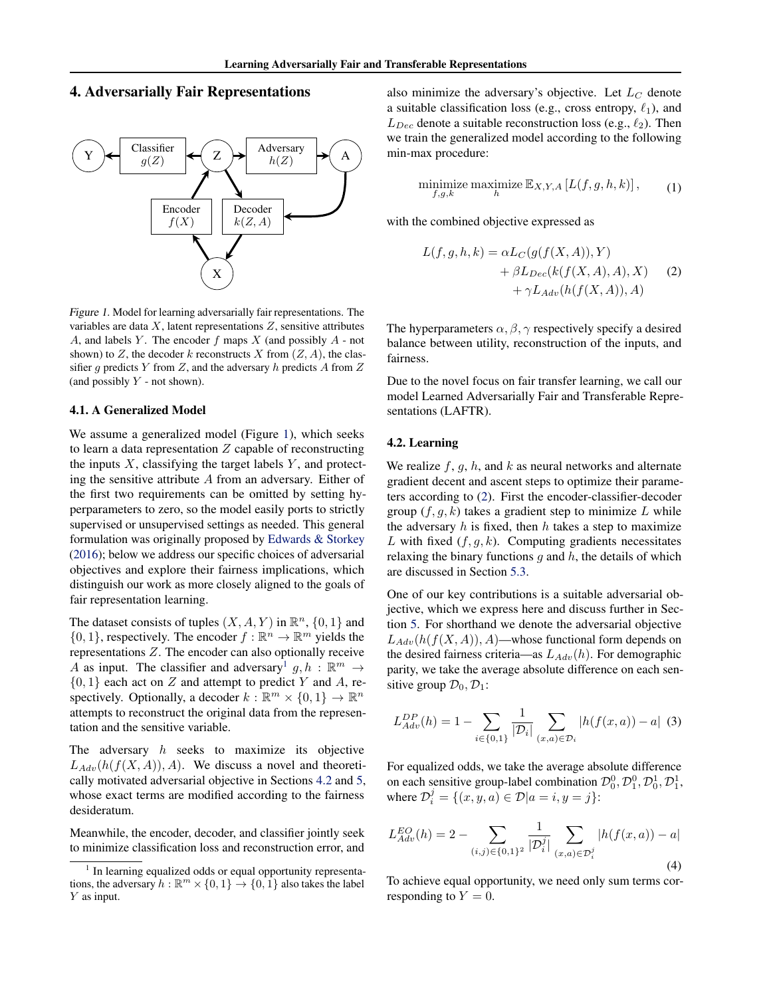# <span id="page-2-0"></span>4. Adversarially Fair Representations



Figure 1. Model for learning adversarially fair representations. The variables are data  $X$ , latent representations  $Z$ , sensitive attributes A, and labels Y. The encoder  $f$  maps  $X$  (and possibly  $A$  - not shown) to Z, the decoder k reconstructs X from  $(Z, A)$ , the classifier g predicts Y from Z, and the adversary h predicts A from  $Z$ (and possibly  $Y$  - not shown).

#### 4.1. A Generalized Model

We assume a generalized model (Figure 1), which seeks to learn a data representation  $Z$  capable of reconstructing the inputs  $X$ , classifying the target labels  $Y$ , and protecting the sensitive attribute A from an adversary. Either of the first two requirements can be omitted by setting hyperparameters to zero, so the model easily ports to strictly supervised or unsupervised settings as needed. This general formulation was originally proposed by [Edwards & Storkey](#page-8-0) [\(2016\)](#page-8-0); below we address our specific choices of adversarial objectives and explore their fairness implications, which distinguish our work as more closely aligned to the goals of fair representation learning.

The dataset consists of tuples  $(X, A, Y)$  in  $\mathbb{R}^n$ ,  $\{0, 1\}$  and  $\{0, 1\}$ , respectively. The encoder  $f : \mathbb{R}^n \to \mathbb{R}^m$  yields the representations Z. The encoder can also optionally receive A as input. The classifier and adversary<sup>1</sup>  $g, h : \mathbb{R}^m \to$  $\{0,1\}$  each act on Z and attempt to predict Y and A, respectively. Optionally, a decoder  $k : \mathbb{R}^m \times \{0,1\} \to \mathbb{R}^n$ attempts to reconstruct the original data from the representation and the sensitive variable.

The adversary  $h$  seeks to maximize its objective  $L_{Adv}(h(f(X, A)), A)$ . We discuss a novel and theoretically motivated adversarial objective in Sections 4.2 and [5,](#page-3-0) whose exact terms are modified according to the fairness desideratum.

Meanwhile, the encoder, decoder, and classifier jointly seek to minimize classification loss and reconstruction error, and

also minimize the adversary's objective. Let  $L_C$  denote a suitable classification loss (e.g., cross entropy,  $\ell_1$ ), and  $L_{Dec}$  denote a suitable reconstruction loss (e.g.,  $\ell_2$ ). Then we train the generalized model according to the following min-max procedure:

$$
\underset{f,g,k}{\text{minimize}} \ \underset{h}{\text{maximize}} \ \mathbb{E}_{X,Y,A} \left[ L(f,g,h,k) \right],\tag{1}
$$

with the combined objective expressed as

$$
L(f, g, h, k) = \alpha L_C(g(f(X, A)), Y)
$$
  
+  $\beta L_{Dec}(k(f(X, A), A), X)$  (2)  
+  $\gamma L_{Adv}(h(f(X, A)), A)$ 

The hyperparameters  $\alpha$ ,  $\beta$ ,  $\gamma$  respectively specify a desired balance between utility, reconstruction of the inputs, and fairness.

Due to the novel focus on fair transfer learning, we call our model Learned Adversarially Fair and Transferable Representations (LAFTR).

#### 4.2. Learning

We realize  $f, g, h$ , and k as neural networks and alternate gradient decent and ascent steps to optimize their parameters according to (2). First the encoder-classifier-decoder group  $(f, g, k)$  takes a gradient step to minimize L while the adversary  $h$  is fixed, then  $h$  takes a step to maximize L with fixed  $(f, q, k)$ . Computing gradients necessitates relaxing the binary functions  $g$  and  $h$ , the details of which are discussed in Section [5.3.](#page-4-0)

One of our key contributions is a suitable adversarial objective, which we express here and discuss further in Section [5.](#page-3-0) For shorthand we denote the adversarial objective  $L_{Adv}(h(f(X, A)), A)$ —whose functional form depends on the desired fairness criteria—as  $L_{Adv}(h)$ . For demographic parity, we take the average absolute difference on each sensitive group  $\mathcal{D}_0, \mathcal{D}_1$ :

$$
L_{Adv}^{DP}(h) = 1 - \sum_{i \in \{0,1\}} \frac{1}{|\mathcal{D}_i|} \sum_{(x,a) \in \mathcal{D}_i} |h(f(x,a)) - a| \tag{3}
$$

For equalized odds, we take the average absolute difference on each sensitive group-label combination  $\mathcal{D}_0^0$ ,  $\mathcal{D}_1^0$ ,  $\mathcal{D}_1^1$ ,  $\mathcal{D}_1^1$ , where  $\mathcal{D}_i^j = \{ (x, y, a) \in \mathcal{D} | a = i, y = j \}$ :

$$
L_{Adv}^{EO}(h) = 2 - \sum_{(i,j) \in \{0,1\}^2} \frac{1}{|\mathcal{D}_i^j|} \sum_{(x,a) \in \mathcal{D}_i^j} |h(f(x,a)) - a|
$$
\n(4)

To achieve equal opportunity, we need only sum terms corresponding to  $Y = 0$ .

<sup>1</sup> In learning equalized odds or equal opportunity representations, the adversary  $h : \mathbb{R}^m \times \{0, 1\} \to \{0, 1\}$  also takes the label Y as input.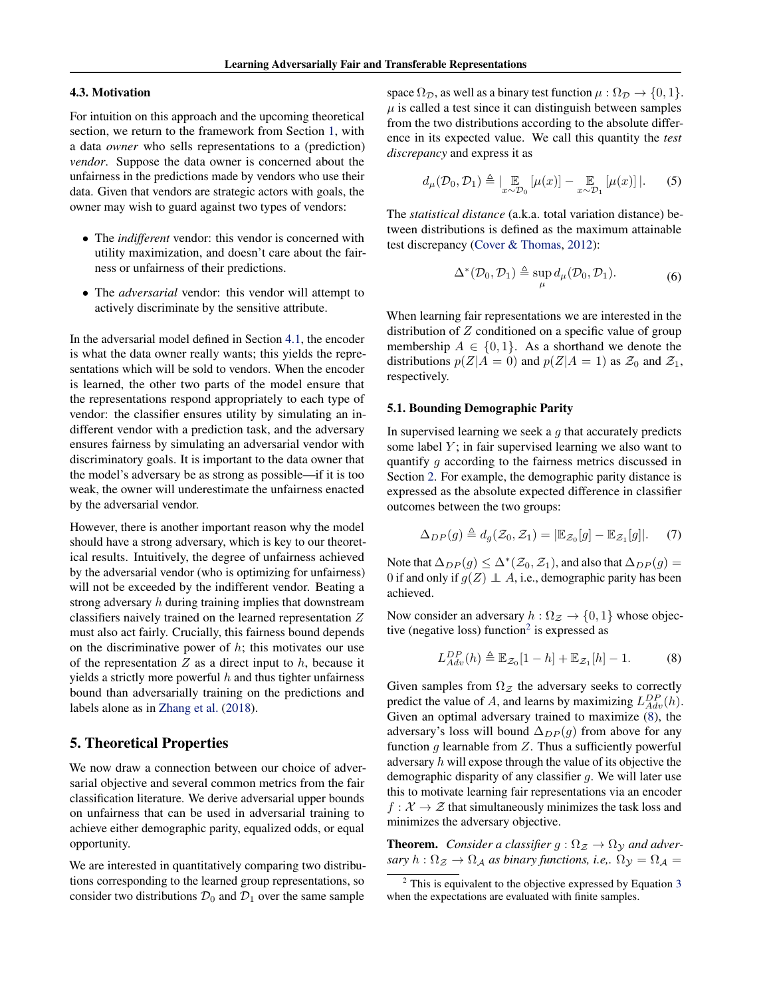#### <span id="page-3-0"></span>4.3. Motivation

For intuition on this approach and the upcoming theoretical section, we return to the framework from Section [1,](#page-0-0) with a data *owner* who sells representations to a (prediction) *vendor*. Suppose the data owner is concerned about the unfairness in the predictions made by vendors who use their data. Given that vendors are strategic actors with goals, the owner may wish to guard against two types of vendors:

- The *indifferent* vendor: this vendor is concerned with utility maximization, and doesn't care about the fairness or unfairness of their predictions.
- The *adversarial* vendor: this vendor will attempt to actively discriminate by the sensitive attribute.

In the adversarial model defined in Section [4.1,](#page-2-0) the encoder is what the data owner really wants; this yields the representations which will be sold to vendors. When the encoder is learned, the other two parts of the model ensure that the representations respond appropriately to each type of vendor: the classifier ensures utility by simulating an indifferent vendor with a prediction task, and the adversary ensures fairness by simulating an adversarial vendor with discriminatory goals. It is important to the data owner that the model's adversary be as strong as possible—if it is too weak, the owner will underestimate the unfairness enacted by the adversarial vendor.

However, there is another important reason why the model should have a strong adversary, which is key to our theoretical results. Intuitively, the degree of unfairness achieved by the adversarial vendor (who is optimizing for unfairness) will not be exceeded by the indifferent vendor. Beating a strong adversary h during training implies that downstream classifiers naively trained on the learned representation Z must also act fairly. Crucially, this fairness bound depends on the discriminative power of  $h$ ; this motivates our use of the representation  $Z$  as a direct input to  $h$ , because it yields a strictly more powerful  $h$  and thus tighter unfairness bound than adversarially training on the predictions and labels alone as in [Zhang et al.](#page-9-0) [\(2018\)](#page-9-0).

## 5. Theoretical Properties

We now draw a connection between our choice of adversarial objective and several common metrics from the fair classification literature. We derive adversarial upper bounds on unfairness that can be used in adversarial training to achieve either demographic parity, equalized odds, or equal opportunity.

We are interested in quantitatively comparing two distributions corresponding to the learned group representations, so consider two distributions  $\mathcal{D}_0$  and  $\mathcal{D}_1$  over the same sample

space  $\Omega_{\mathcal{D}}$ , as well as a binary test function  $\mu : \Omega_{\mathcal{D}} \to \{0, 1\}.$  $\mu$  is called a test since it can distinguish between samples from the two distributions according to the absolute difference in its expected value. We call this quantity the *test discrepancy* and express it as

$$
d_{\mu}(\mathcal{D}_0, \mathcal{D}_1) \triangleq \left| \mathop{\mathbb{E}}_{x \sim \mathcal{D}_0} \left[ \mu(x) \right] - \mathop{\mathbb{E}}_{x \sim \mathcal{D}_1} \left[ \mu(x) \right] \right|.
$$
 (5)

The *statistical distance* (a.k.a. total variation distance) between distributions is defined as the maximum attainable test discrepancy [\(Cover & Thomas,](#page-8-0) [2012\)](#page-8-0):

$$
\Delta^*(\mathcal{D}_0, \mathcal{D}_1) \triangleq \sup_{\mu} d_{\mu}(\mathcal{D}_0, \mathcal{D}_1).
$$
 (6)

When learning fair representations we are interested in the distribution of  $Z$  conditioned on a specific value of group membership  $A \in \{0, 1\}$ . As a shorthand we denote the distributions  $p(Z|A = 0)$  and  $p(Z|A = 1)$  as  $\mathcal{Z}_0$  and  $\mathcal{Z}_1$ , respectively.

#### 5.1. Bounding Demographic Parity

In supervised learning we seek a  $q$  that accurately predicts some label  $Y$ ; in fair supervised learning we also want to quantify g according to the fairness metrics discussed in Section [2.](#page-1-0) For example, the demographic parity distance is expressed as the absolute expected difference in classifier outcomes between the two groups:

$$
\Delta_{DP}(g) \triangleq d_g(\mathcal{Z}_0, \mathcal{Z}_1) = |\mathbb{E}_{\mathcal{Z}_0}[g] - \mathbb{E}_{\mathcal{Z}_1}[g]|. \quad (7)
$$

Note that  $\Delta_{DP}(g) \leq \Delta^*(\mathcal{Z}_0, \mathcal{Z}_1)$ , and also that  $\Delta_{DP}(g) =$ 0 if and only if  $g(Z) \perp A$ , i.e., demographic parity has been achieved.

Now consider an adversary  $h : \Omega_{\mathcal{Z}} \to \{0, 1\}$  whose objective (negative loss) function<sup>2</sup> is expressed as

$$
L_{Adv}^{DP}(h) \triangleq \mathbb{E}_{\mathcal{Z}_0}[1-h] + \mathbb{E}_{\mathcal{Z}_1}[h] - 1.
$$
 (8)

Given samples from  $\Omega$ <sub>Z</sub> the adversary seeks to correctly predict the value of A, and learns by maximizing  $L_{Adv}^{DP}(h)$ . Given an optimal adversary trained to maximize (8), the adversary's loss will bound  $\Delta_{DP}(q)$  from above for any function  $g$  learnable from  $Z$ . Thus a sufficiently powerful adversary  $h$  will expose through the value of its objective the demographic disparity of any classifier  $q$ . We will later use this to motivate learning fair representations via an encoder  $f: \mathcal{X} \to \mathcal{Z}$  that simultaneously minimizes the task loss and minimizes the adversary objective.

**Theorem.** *Consider a classifier*  $g : \Omega_{\mathcal{Z}} \to \Omega_{\mathcal{Y}}$  *and adversary*  $h: \Omega_{\mathcal{Z}} \to \Omega_{\mathcal{A}}$  *as binary functions, i.e.*,  $\Omega_{\mathcal{Y}} = \Omega_{\mathcal{A}} =$ 

 $2$  This is equivalent to the objective expressed by Equation [3](#page-2-0) when the expectations are evaluated with finite samples.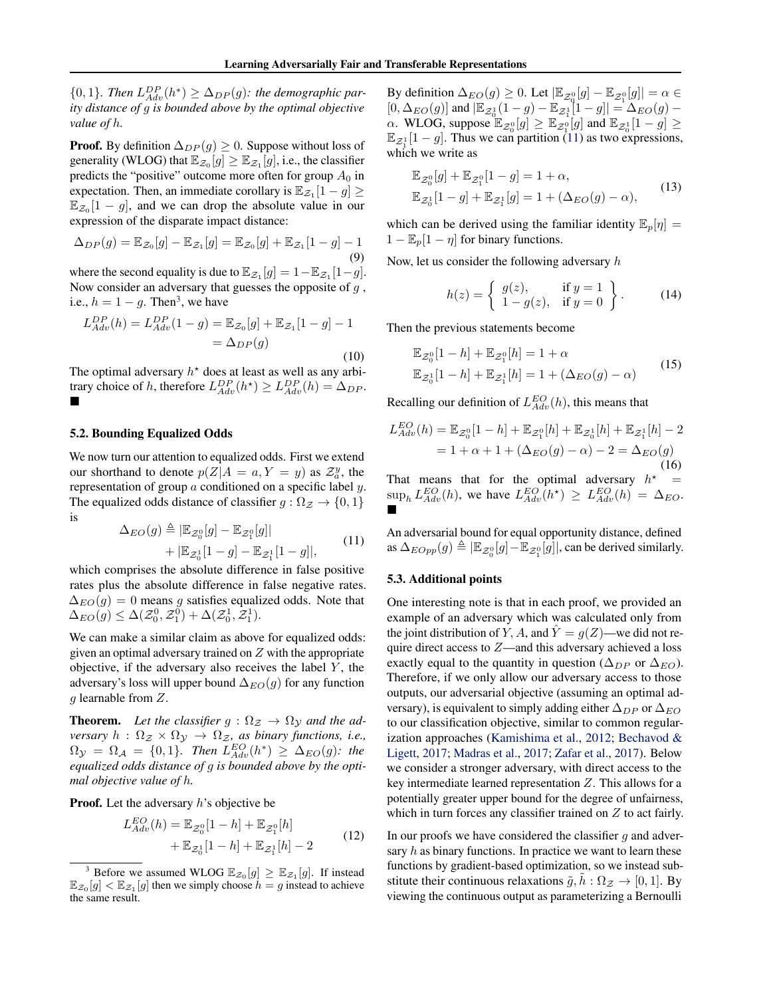<span id="page-4-0"></span> ${0,1}$ *. Then*  $L_{Adv}^{DP}(h^*) \ge \Delta_{DP}(g)$ *: the demographic parity distance of* g *is bounded above by the optimal objective value of* h*.*

**Proof.** By definition  $\Delta_{DP}(q) \geq 0$ . Suppose without loss of generality (WLOG) that  $\mathbb{E}_{\mathcal{Z}_0}[g] \geq \mathbb{E}_{\mathcal{Z}_1}[g]$ , i.e., the classifier predicts the "positive" outcome more often for group  $A_0$  in expectation. Then, an immediate corollary is  $\mathbb{E}_{\mathcal{Z}_1}[1-g] \ge$  $\mathbb{E}_{z_0}[1-g]$ , and we can drop the absolute value in our expression of the disparate impact distance:

$$
\Delta_{DP}(g) = \mathbb{E}_{\mathcal{Z}_0}[g] - \mathbb{E}_{\mathcal{Z}_1}[g] = \mathbb{E}_{\mathcal{Z}_0}[g] + \mathbb{E}_{\mathcal{Z}_1}[1 - g] - 1
$$
\n(9)

where the second equality is due to  $\mathbb{E}_{\mathcal{Z}_1}[g] = 1 - \mathbb{E}_{\mathcal{Z}_1}[1 - g]$ . Now consider an adversary that guesses the opposite of  $g$ , i.e.,  $h = 1 - g$ . Then<sup>3</sup>, we have

$$
L_{Adv}^{DP}(h) = L_{Adv}^{DP}(1 - g) = \mathbb{E}_{\mathcal{Z}_0}[g] + \mathbb{E}_{\mathcal{Z}_1}[1 - g] - 1
$$
  
=  $\Delta_{DP}(g)$  (10)

The optimal adversary  $h^*$  does at least as well as any arbitrary choice of h, therefore  $L_{Adv}^{DP}(h^*) \ge L_{Adv}^{DP}(h) = \Delta_{DP}$ .

#### 5.2. Bounding Equalized Odds

We now turn our attention to equalized odds. First we extend our shorthand to denote  $p(Z|A = a, Y = y)$  as  $\mathcal{Z}_a^y$ , the representation of group a conditioned on a specific label y. The equalized odds distance of classifier  $g : \Omega_{\mathcal{Z}} \to \{0, 1\}$ is

$$
\Delta_{EO}(g) \triangleq |\mathbb{E}_{\mathcal{Z}_0^0}[g] - \mathbb{E}_{\mathcal{Z}_1^0}[g]| + |\mathbb{E}_{\mathcal{Z}_0^1}[1 - g] - \mathbb{E}_{\mathcal{Z}_1^1}[1 - g]|,
$$
\n(11)

which comprises the absolute difference in false positive rates plus the absolute difference in false negative rates.  $\Delta_{EO}(g) = 0$  means g satisfies equalized odds. Note that  $\Delta_{EO}(g) \leq \Delta(\mathcal{Z}_0^0, \mathcal{Z}_1^0) + \Delta(\mathcal{Z}_0^1, \mathcal{Z}_1^1).$ 

We can make a similar claim as above for equalized odds: given an optimal adversary trained on  $Z$  with the appropriate objective, if the adversary also receives the label  $Y$ , the adversary's loss will upper bound  $\Delta_{EO}(g)$  for any function g learnable from Z.

**Theorem.** Let the classifier  $g : \Omega_{\mathcal{Z}} \to \Omega_{\mathcal{Y}}$  and the ad*versary*  $h : \Omega_{\mathcal{Z}} \times \Omega_{\mathcal{Y}} \to \Omega_{\mathcal{Z}}$ , *as binary functions, i.e.*,  $\Omega_{\mathcal{Y}} = \Omega_{\mathcal{A}} = \{0, 1\}$ *. Then*  $L_{Adv}^{EO}(h^*) \geq \Delta_{EO}(g)$ *: the equalized odds distance of* g *is bounded above by the optimal objective value of* h*.*

**Proof.** Let the adversary  $h$ 's objective be

$$
L_{Adv}^{EO}(h) = \mathbb{E}_{\mathcal{Z}_0^0}[1-h] + \mathbb{E}_{\mathcal{Z}_1^0}[h] + \mathbb{E}_{\mathcal{Z}_0^1}[1-h] + \mathbb{E}_{\mathcal{Z}_1^1}[h] - 2
$$
 (12)

By definition  $\Delta_{EO}(g) \ge 0$ . Let  $\left| \mathbb{E}_{\mathcal{Z}_Q^0}[g] - \mathbb{E}_{\mathcal{Z}_1^0}[g] \right| = \alpha \in$  $[0, \Delta_{EO}(g)]$  and  $|\mathbb{E}_{\mathcal{Z}_{0}^{1}}(1-g)-\mathbb{E}_{\mathcal{Z}_{1}^{1}}[1-g]|=\Delta_{EO}(g)$  $\alpha$ . WLOG, suppose  $\mathbb{E}_{\mathcal{Z}_{0}^{0}}[g] \geq \mathbb{E}_{\mathcal{Z}_{1}^{0}}[g]$  and  $\mathbb{E}_{\mathcal{Z}_{0}^{1}}[1-g] \geq$  $\mathbb{E}_{\mathcal{Z}_1^1}[1-g]$ . Thus we can partition (11) as two expressions, which we write as

$$
\mathbb{E}_{\mathcal{Z}_0^0}[g] + \mathbb{E}_{\mathcal{Z}_1^0}[1 - g] = 1 + \alpha,
$$
  

$$
\mathbb{E}_{\mathcal{Z}_0^1}[1 - g] + \mathbb{E}_{\mathcal{Z}_1^1}[g] = 1 + (\Delta_{EO}(g) - \alpha),
$$
 (13)

which can be derived using the familiar identity  $\mathbb{E}_p[\eta] =$  $1 - \mathbb{E}_p[1 - \eta]$  for binary functions.

Now, let us consider the following adversary  $h$ 

$$
h(z) = \left\{ \begin{array}{ll} g(z), & \text{if } y = 1 \\ 1 - g(z), & \text{if } y = 0 \end{array} \right\}.
$$
\n(14)

Then the previous statements become

$$
\mathbb{E}_{\mathcal{Z}_0^0}[1-h] + \mathbb{E}_{\mathcal{Z}_1^0}[h] = 1 + \alpha
$$
  

$$
\mathbb{E}_{\mathcal{Z}_0^1}[1-h] + \mathbb{E}_{\mathcal{Z}_1^1}[h] = 1 + (\Delta_{EO}(g) - \alpha)
$$
 (15)

Recalling our definition of  $L_{Adv}^{EO}(h)$ , this means that

$$
L_{Adv}^{EO}(h) = \mathbb{E}_{\mathcal{Z}_0^0}[1-h] + \mathbb{E}_{\mathcal{Z}_1^0}[h] + \mathbb{E}_{\mathcal{Z}_0^1}[h] + \mathbb{E}_{\mathcal{Z}_1^1}[h] - 2
$$
  
= 1 + \alpha + 1 + (\Delta\_{EO}(g) - \alpha) - 2 = \Delta\_{EO}(g) (16)

That means that for the optimal adversary  $h^*$  =  $\sup_h L_{Adv}^{EO}(h)$ , we have  $L_{Adv}^{EO}(h^*) \geq L_{Adv}^{EO}(h) = \Delta_{EO}$ .

An adversarial bound for equal opportunity distance, defined as  $\Delta_{EOpp}(g) \triangleq |\mathbb{E}_{\mathcal{Z}_0^0}[g] - \mathbb{E}_{\mathcal{Z}_1^0}[g]|$ , can be derived similarly.

#### 5.3. Additional points

One interesting note is that in each proof, we provided an example of an adversary which was calculated only from the joint distribution of Y, A, and  $\hat{Y} = g(Z)$ —we did not require direct access to Z—and this adversary achieved a loss exactly equal to the quantity in question ( $\Delta_{DP}$  or  $\Delta_{EO}$ ). Therefore, if we only allow our adversary access to those outputs, our adversarial objective (assuming an optimal adversary), is equivalent to simply adding either  $\Delta_{DP}$  or  $\Delta_{EO}$ to our classification objective, similar to common regularization approaches [\(Kamishima et al.,](#page-9-0) [2012;](#page-9-0) [Bechavod &](#page-8-0) [Ligett,](#page-8-0) [2017;](#page-8-0) [Madras et al.,](#page-9-0) [2017;](#page-9-0) [Zafar et al.,](#page-9-0) [2017\)](#page-9-0). Below we consider a stronger adversary, with direct access to the key intermediate learned representation  $Z$ . This allows for a potentially greater upper bound for the degree of unfairness, which in turn forces any classifier trained on Z to act fairly.

In our proofs we have considered the classifier  $q$  and adversary  $h$  as binary functions. In practice we want to learn these functions by gradient-based optimization, so we instead substitute their continuous relaxations  $\tilde{g}, \tilde{h} : \Omega_{\mathcal{Z}} \to [0, 1]$ . By viewing the continuous output as parameterizing a Bernoulli

<sup>&</sup>lt;sup>3</sup> Before we assumed WLOG  $\mathbb{E}_{\mathcal{Z}_0}[g] \geq \mathbb{E}_{\mathcal{Z}_1}[g]$ . If instead  $\mathbb{E}_{\mathcal{Z}_0}[g] < \mathbb{E}_{\mathcal{Z}_1}[g]$  then we simply choose  $h = g$  instead to achieve the same result.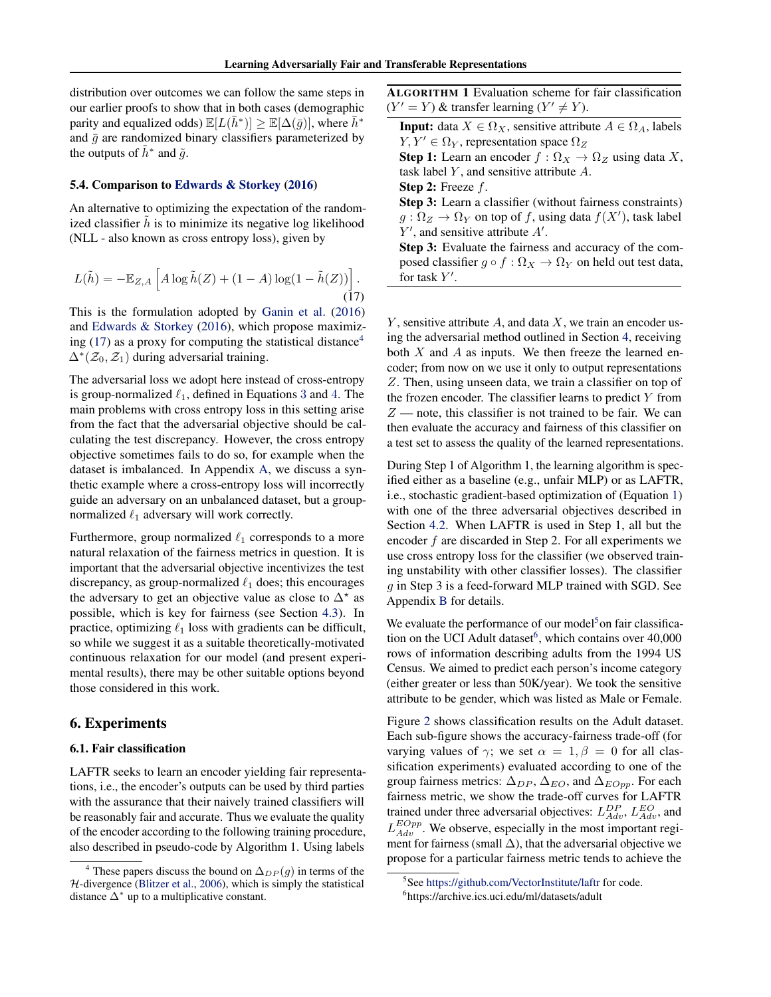<span id="page-5-0"></span>distribution over outcomes we can follow the same steps in our earlier proofs to show that in both cases (demographic parity and equalized odds)  $\mathbb{E}[L(\bar{h}^*)] \geq \mathbb{E}[\Delta(\bar{g})]$ , where  $\bar{h}^*$ and  $\bar{g}$  are randomized binary classifiers parameterized by the outputs of  $\tilde{h}^*$  and  $\tilde{g}$ .

#### 5.4. Comparison to [Edwards & Storkey](#page-8-0) [\(2016\)](#page-8-0)

An alternative to optimizing the expectation of the randomized classifier  $h$  is to minimize its negative log likelihood (NLL - also known as cross entropy loss), given by

$$
L(\tilde{h}) = -\mathbb{E}_{Z,A}\left[A\log\tilde{h}(Z) + (1-A)\log(1-\tilde{h}(Z))\right].
$$
\n(17)

This is the formulation adopted by [Ganin et al.](#page-9-0) [\(2016\)](#page-9-0) and [Edwards & Storkey](#page-8-0) [\(2016\)](#page-8-0), which propose maximizing (17) as a proxy for computing the statistical distance<sup>4</sup>  $\Delta^*(\mathcal{Z}_0, \mathcal{Z}_1)$  during adversarial training.

The adversarial loss we adopt here instead of cross-entropy is group-normalized  $\ell_1$ , defined in Equations [3](#page-2-0) and [4](#page-2-0). The main problems with cross entropy loss in this setting arise from the fact that the adversarial objective should be calculating the test discrepancy. However, the cross entropy objective sometimes fails to do so, for example when the dataset is imbalanced. In Appendix [A,](#page-10-0) we discuss a synthetic example where a cross-entropy loss will incorrectly guide an adversary on an unbalanced dataset, but a groupnormalized  $\ell_1$  adversary will work correctly.

Furthermore, group normalized  $\ell_1$  corresponds to a more natural relaxation of the fairness metrics in question. It is important that the adversarial objective incentivizes the test discrepancy, as group-normalized  $\ell_1$  does; this encourages the adversary to get an objective value as close to  $\Delta^*$  as possible, which is key for fairness (see Section [4.3\)](#page-3-0). In practice, optimizing  $\ell_1$  loss with gradients can be difficult, so while we suggest it as a suitable theoretically-motivated continuous relaxation for our model (and present experimental results), there may be other suitable options beyond those considered in this work.

## 6. Experiments

#### 6.1. Fair classification

LAFTR seeks to learn an encoder yielding fair representations, i.e., the encoder's outputs can be used by third parties with the assurance that their naively trained classifiers will be reasonably fair and accurate. Thus we evaluate the quality of the encoder according to the following training procedure, also described in pseudo-code by Algorithm 1. Using labels

ALGORITHM 1 Evaluation scheme for fair classification  $(Y' = Y)$  & transfer learning  $(Y' \neq Y)$ .

**Input:** data  $X \in \Omega_X$ , sensitive attribute  $A \in \Omega_A$ , labels  $Y, Y' \in \Omega_Y$ , representation space  $\Omega_Z$ 

Step 1: Learn an encoder  $f : \Omega_X \to \Omega_Z$  using data X, task label  $Y$ , and sensitive attribute  $A$ .

Step 2: Freeze f.

Step 3: Learn a classifier (without fairness constraints)  $g: \Omega_Z \to \Omega_Y$  on top of f, using data  $f(X')$ , task label  $Y'$ , and sensitive attribute  $A'$ .

Step 3: Evaluate the fairness and accuracy of the composed classifier  $g \circ f : \Omega_X \to \Omega_Y$  on held out test data, for task  $Y'$ .

Y, sensitive attribute A, and data X, we train an encoder using the adversarial method outlined in Section [4,](#page-2-0) receiving both  $X$  and  $A$  as inputs. We then freeze the learned encoder; from now on we use it only to output representations Z. Then, using unseen data, we train a classifier on top of the frozen encoder. The classifier learns to predict  $Y$  from  $Z$  — note, this classifier is not trained to be fair. We can then evaluate the accuracy and fairness of this classifier on a test set to assess the quality of the learned representations.

During Step 1 of Algorithm 1, the learning algorithm is specified either as a baseline (e.g., unfair MLP) or as LAFTR, i.e., stochastic gradient-based optimization of (Equation [1\)](#page-2-0) with one of the three adversarial objectives described in Section [4.2.](#page-2-0) When LAFTR is used in Step 1, all but the encoder f are discarded in Step 2. For all experiments we use cross entropy loss for the classifier (we observed training unstability with other classifier losses). The classifier  $g$  in Step 3 is a feed-forward MLP trained with SGD. See Appendix [B](#page-10-0) for details.

We evaluate the performance of our model<sup>5</sup> on fair classification on the UCI Adult dataset<sup>6</sup>, which contains over 40,000 rows of information describing adults from the 1994 US Census. We aimed to predict each person's income category (either greater or less than 50K/year). We took the sensitive attribute to be gender, which was listed as Male or Female.

Figure [2](#page-6-0) shows classification results on the Adult dataset. Each sub-figure shows the accuracy-fairness trade-off (for varying values of  $\gamma$ ; we set  $\alpha = 1, \beta = 0$  for all classification experiments) evaluated according to one of the group fairness metrics:  $\Delta_{DP}$ ,  $\Delta_{EO}$ , and  $\Delta_{EOpp}$ . For each fairness metric, we show the trade-off curves for LAFTR trained under three adversarial objectives:  $L_{Adv}^{DP}$ ,  $L_{Adv}^{EO}$ , and  $L_{Adv}^{EOpp}$ . We observe, especially in the most important regiment for fairness (small  $\Delta$ ), that the adversarial objective we propose for a particular fairness metric tends to achieve the

<sup>&</sup>lt;sup>4</sup> These papers discuss the bound on  $\Delta_{DP}(g)$  in terms of the  $H$ -divergence [\(Blitzer et al.,](#page-8-0) [2006\)](#page-8-0), which is simply the statistical distance  $\Delta^*$  up to a multiplicative constant.

<sup>&</sup>lt;sup>5</sup>See <https://github.com/VectorInstitute/laftr> for code.

<sup>6</sup> https://archive.ics.uci.edu/ml/datasets/adult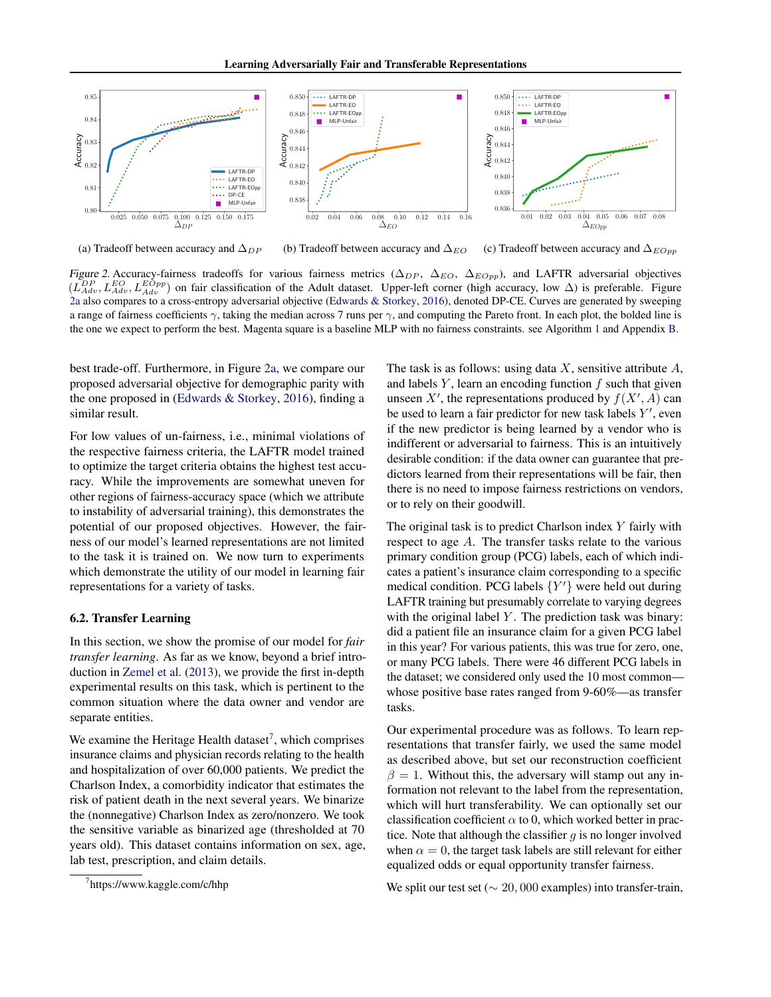<span id="page-6-0"></span>

(a) Tradeoff between accuracy and  $\Delta_{DP}$ 

(b) Tradeoff between accuracy and  $\Delta_{EO}$ (c) Tradeoff between accuracy and  $\Delta_{EOpp}$ 

Figure 2. Accuracy-fairness tradeoffs for various fairness metrics ( $\Delta_{DP}$ ,  $\Delta_{EO}$ ,  $\Delta_{EOpp}$ ), and LAFTR adversarial objectives  $(L_{Adv}^{DP}, L_{Adv}^{EOpp})$  on fair classification of the Adult dataset. Upper-left corner (high accuracy, low  $\Delta$ ) is preferable. Figure 2a also compares to a cross-entropy adversarial objective [\(Edwards & Storkey,](#page-8-0) [2016\)](#page-8-0), denoted DP-CE. Curves are generated by sweeping a range of fairness coefficients  $\gamma$ , taking the median across 7 runs per  $\gamma$ , and computing the Pareto front. In each plot, the bolded line is the one we expect to perform the best. Magenta square is a baseline MLP with no fairness constraints. see Algorithm [1](#page-5-0) and Appendix [B.](#page-10-0)

best trade-off. Furthermore, in Figure 2a, we compare our proposed adversarial objective for demographic parity with the one proposed in [\(Edwards & Storkey,](#page-8-0) [2016\)](#page-8-0), finding a similar result.

For low values of un-fairness, i.e., minimal violations of the respective fairness criteria, the LAFTR model trained to optimize the target criteria obtains the highest test accuracy. While the improvements are somewhat uneven for other regions of fairness-accuracy space (which we attribute to instability of adversarial training), this demonstrates the potential of our proposed objectives. However, the fairness of our model's learned representations are not limited to the task it is trained on. We now turn to experiments which demonstrate the utility of our model in learning fair representations for a variety of tasks.

#### 6.2. Transfer Learning

In this section, we show the promise of our model for *fair transfer learning*. As far as we know, beyond a brief introduction in [Zemel et al.](#page-9-0) [\(2013\)](#page-9-0), we provide the first in-depth experimental results on this task, which is pertinent to the common situation where the data owner and vendor are separate entities.

We examine the Heritage Health dataset $^7$ , which comprises insurance claims and physician records relating to the health and hospitalization of over 60,000 patients. We predict the Charlson Index, a comorbidity indicator that estimates the risk of patient death in the next several years. We binarize the (nonnegative) Charlson Index as zero/nonzero. We took the sensitive variable as binarized age (thresholded at 70 years old). This dataset contains information on sex, age, lab test, prescription, and claim details.

The task is as follows: using data  $X$ , sensitive attribute  $A$ , and labels  $Y$ , learn an encoding function  $f$  such that given unseen X', the representations produced by  $f(X', A)$  can be used to learn a fair predictor for new task labels  $Y'$ , even if the new predictor is being learned by a vendor who is indifferent or adversarial to fairness. This is an intuitively desirable condition: if the data owner can guarantee that predictors learned from their representations will be fair, then there is no need to impose fairness restrictions on vendors, or to rely on their goodwill.

The original task is to predict Charlson index  $Y$  fairly with respect to age A. The transfer tasks relate to the various primary condition group (PCG) labels, each of which indicates a patient's insurance claim corresponding to a specific medical condition. PCG labels  ${Y'}$  were held out during LAFTR training but presumably correlate to varying degrees with the original label  $Y$ . The prediction task was binary: did a patient file an insurance claim for a given PCG label in this year? For various patients, this was true for zero, one, or many PCG labels. There were 46 different PCG labels in the dataset; we considered only used the 10 most common whose positive base rates ranged from 9-60%—as transfer tasks.

Our experimental procedure was as follows. To learn representations that transfer fairly, we used the same model as described above, but set our reconstruction coefficient  $\beta = 1$ . Without this, the adversary will stamp out any information not relevant to the label from the representation, which will hurt transferability. We can optionally set our classification coefficient  $\alpha$  to 0, which worked better in practice. Note that although the classifier  $g$  is no longer involved when  $\alpha = 0$ , the target task labels are still relevant for either equalized odds or equal opportunity transfer fairness.

We split our test set ( $\sim 20,000$  examples) into transfer-train,

<sup>7</sup> https://www.kaggle.com/c/hhp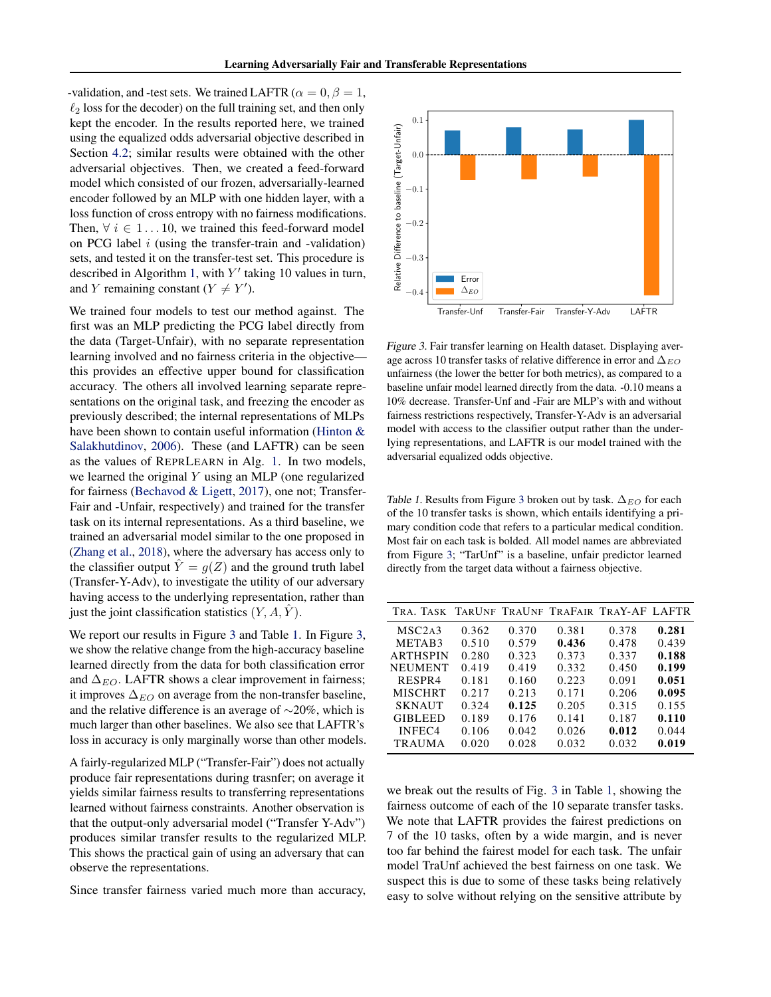<span id="page-7-0"></span>-validation, and -test sets. We trained LAFTR ( $\alpha = 0, \beta = 1$ ,  $\ell_2$  loss for the decoder) on the full training set, and then only kept the encoder. In the results reported here, we trained using the equalized odds adversarial objective described in Section [4.2;](#page-2-0) similar results were obtained with the other adversarial objectives. Then, we created a feed-forward model which consisted of our frozen, adversarially-learned encoder followed by an MLP with one hidden layer, with a loss function of cross entropy with no fairness modifications. Then,  $\forall i \in 1...10$ , we trained this feed-forward model on PCG label  $i$  (using the transfer-train and -validation) sets, and tested it on the transfer-test set. This procedure is described in Algorithm [1,](#page-5-0) with  $Y'$  taking 10 values in turn, and Y remaining constant ( $Y \neq Y'$ ).

We trained four models to test our method against. The first was an MLP predicting the PCG label directly from the data (Target-Unfair), with no separate representation learning involved and no fairness criteria in the objective this provides an effective upper bound for classification accuracy. The others all involved learning separate representations on the original task, and freezing the encoder as previously described; the internal representations of MLPs have been shown to contain useful information [\(Hinton &](#page-9-0) [Salakhutdinov,](#page-9-0) [2006\)](#page-9-0). These (and LAFTR) can be seen as the values of REPRLEARN in Alg. [1.](#page-5-0) In two models, we learned the original Y using an MLP (one regularized for fairness [\(Bechavod & Ligett,](#page-8-0) [2017\)](#page-8-0), one not; Transfer-Fair and -Unfair, respectively) and trained for the transfer task on its internal representations. As a third baseline, we trained an adversarial model similar to the one proposed in [\(Zhang et al.,](#page-9-0) [2018\)](#page-9-0), where the adversary has access only to the classifier output  $\hat{Y} = g(Z)$  and the ground truth label (Transfer-Y-Adv), to investigate the utility of our adversary having access to the underlying representation, rather than just the joint classification statistics  $(Y, A, \hat{Y})$ .

We report our results in Figure 3 and Table 1. In Figure 3, we show the relative change from the high-accuracy baseline learned directly from the data for both classification error and  $\Delta_{EO}$ . LAFTR shows a clear improvement in fairness; it improves  $\Delta_{EO}$  on average from the non-transfer baseline, and the relative difference is an average of ∼20%, which is much larger than other baselines. We also see that LAFTR's loss in accuracy is only marginally worse than other models.

A fairly-regularized MLP ("Transfer-Fair") does not actually produce fair representations during trasnfer; on average it yields similar fairness results to transferring representations learned without fairness constraints. Another observation is that the output-only adversarial model ("Transfer Y-Adv") produces similar transfer results to the regularized MLP. This shows the practical gain of using an adversary that can observe the representations.

Since transfer fairness varied much more than accuracy,



Figure 3. Fair transfer learning on Health dataset. Displaying average across 10 transfer tasks of relative difference in error and  $\Delta_{EO}$ unfairness (the lower the better for both metrics), as compared to a baseline unfair model learned directly from the data. -0.10 means a 10% decrease. Transfer-Unf and -Fair are MLP's with and without fairness restrictions respectively, Transfer-Y-Adv is an adversarial model with access to the classifier output rather than the underlying representations, and LAFTR is our model trained with the adversarial equalized odds objective.

Table 1. Results from Figure 3 broken out by task.  $\Delta_{EO}$  for each of the 10 transfer tasks is shown, which entails identifying a primary condition code that refers to a particular medical condition. Most fair on each task is bolded. All model names are abbreviated from Figure 3; "TarUnf" is a baseline, unfair predictor learned directly from the target data without a fairness objective.

| TRA. TASK TARUNE TRAUNE TRAFAIR TRAY-AF LAFTR |       |       |       |       |       |
|-----------------------------------------------|-------|-------|-------|-------|-------|
| MSC <sub>2</sub> A <sub>3</sub>               | 0.362 | 0.370 | 0.381 | 0.378 | 0.281 |
| METAB3                                        | 0.510 | 0.579 | 0.436 | 0.478 | 0.439 |
| <b>ARTHSPIN</b>                               | 0.280 | 0.323 | 0.373 | 0.337 | 0.188 |
| <b>NEUMENT</b>                                | 0.419 | 0.419 | 0.332 | 0.450 | 0.199 |
| RESPR4                                        | 0.181 | 0.160 | 0.223 | 0.091 | 0.051 |
| <b>MISCHRT</b>                                | 0.217 | 0.213 | 0.171 | 0.206 | 0.095 |
| <b>SKNAUT</b>                                 | 0.324 | 0.125 | 0.205 | 0.315 | 0.155 |
| <b>GIBLEED</b>                                | 0.189 | 0.176 | 0.141 | 0.187 | 0.110 |
| INFEC4                                        | 0.106 | 0.042 | 0.026 | 0.012 | 0.044 |
| <b>TRAUMA</b>                                 | 0.020 | 0.028 | 0.032 | 0.032 | 0.019 |

we break out the results of Fig. 3 in Table 1, showing the fairness outcome of each of the 10 separate transfer tasks. We note that LAFTR provides the fairest predictions on 7 of the 10 tasks, often by a wide margin, and is never too far behind the fairest model for each task. The unfair model TraUnf achieved the best fairness on one task. We suspect this is due to some of these tasks being relatively easy to solve without relying on the sensitive attribute by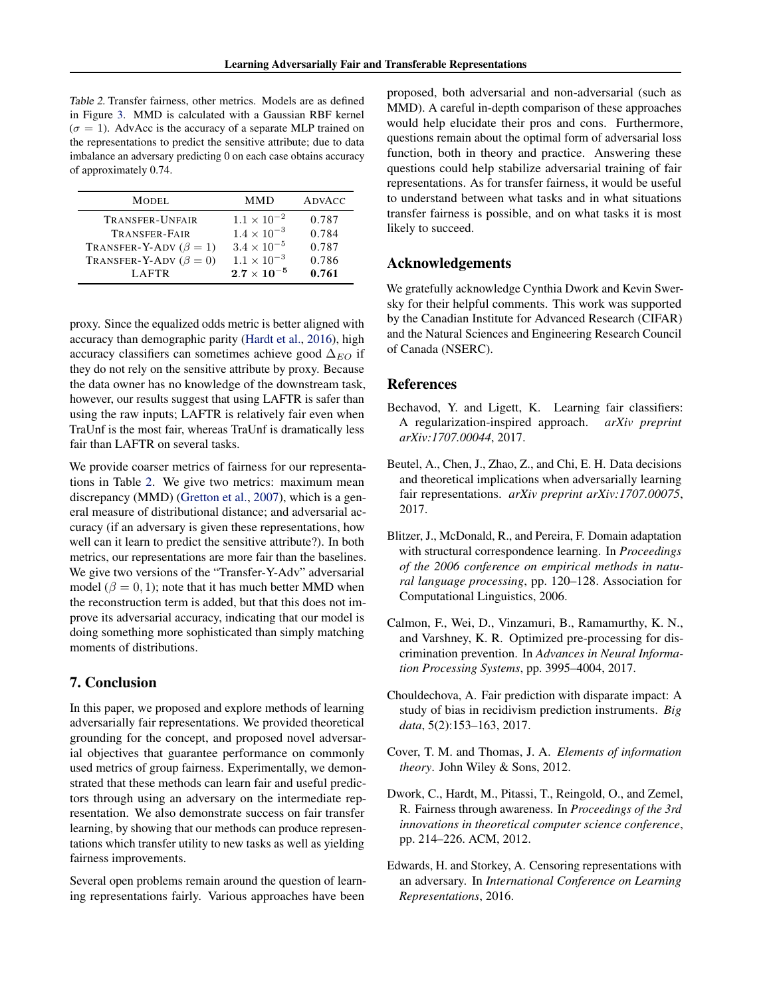<span id="page-8-0"></span>Table 2. Transfer fairness, other metrics. Models are as defined in Figure [3.](#page-7-0) MMD is calculated with a Gaussian RBF kernel  $(\sigma = 1)$ . AdvAcc is the accuracy of a separate MLP trained on the representations to predict the sensitive attribute; due to data imbalance an adversary predicting 0 on each case obtains accuracy of approximately 0.74.

| <b>MODEL</b>                 | <b>MMD</b>           | <b>ADVACC</b> |
|------------------------------|----------------------|---------------|
| <b>TRANSFER-UNFAIR</b>       | $1.1 \times 10^{-2}$ | 0.787         |
| TRANSFER-FAIR                | $1.4 \times 10^{-3}$ | 0.784         |
| TRANSFER-Y-ADV $(\beta = 1)$ | $3.4 \times 10^{-5}$ | 0.787         |
| TRANSFER-Y-ADV $(\beta = 0)$ | $1.1 \times 10^{-3}$ | 0.786         |
| <b>LAFTR</b>                 | $2.7 \times 10^{-5}$ | 0.761         |

proxy. Since the equalized odds metric is better aligned with accuracy than demographic parity [\(Hardt et al.,](#page-9-0) [2016\)](#page-9-0), high accuracy classifiers can sometimes achieve good  $\Delta_{EO}$  if they do not rely on the sensitive attribute by proxy. Because the data owner has no knowledge of the downstream task, however, our results suggest that using LAFTR is safer than using the raw inputs; LAFTR is relatively fair even when TraUnf is the most fair, whereas TraUnf is dramatically less fair than LAFTR on several tasks.

We provide coarser metrics of fairness for our representations in Table 2. We give two metrics: maximum mean discrepancy (MMD) [\(Gretton et al.,](#page-9-0) [2007\)](#page-9-0), which is a general measure of distributional distance; and adversarial accuracy (if an adversary is given these representations, how well can it learn to predict the sensitive attribute?). In both metrics, our representations are more fair than the baselines. We give two versions of the "Transfer-Y-Adv" adversarial model ( $\beta = 0, 1$ ); note that it has much better MMD when the reconstruction term is added, but that this does not improve its adversarial accuracy, indicating that our model is doing something more sophisticated than simply matching moments of distributions.

# 7. Conclusion

In this paper, we proposed and explore methods of learning adversarially fair representations. We provided theoretical grounding for the concept, and proposed novel adversarial objectives that guarantee performance on commonly used metrics of group fairness. Experimentally, we demonstrated that these methods can learn fair and useful predictors through using an adversary on the intermediate representation. We also demonstrate success on fair transfer learning, by showing that our methods can produce representations which transfer utility to new tasks as well as yielding fairness improvements.

Several open problems remain around the question of learning representations fairly. Various approaches have been

proposed, both adversarial and non-adversarial (such as MMD). A careful in-depth comparison of these approaches would help elucidate their pros and cons. Furthermore, questions remain about the optimal form of adversarial loss function, both in theory and practice. Answering these questions could help stabilize adversarial training of fair representations. As for transfer fairness, it would be useful to understand between what tasks and in what situations transfer fairness is possible, and on what tasks it is most likely to succeed.

# Acknowledgements

We gratefully acknowledge Cynthia Dwork and Kevin Swersky for their helpful comments. This work was supported by the Canadian Institute for Advanced Research (CIFAR) and the Natural Sciences and Engineering Research Council of Canada (NSERC).

# References

- Bechavod, Y. and Ligett, K. Learning fair classifiers: A regularization-inspired approach. *arXiv preprint arXiv:1707.00044*, 2017.
- Beutel, A., Chen, J., Zhao, Z., and Chi, E. H. Data decisions and theoretical implications when adversarially learning fair representations. *arXiv preprint arXiv:1707.00075*, 2017.
- Blitzer, J., McDonald, R., and Pereira, F. Domain adaptation with structural correspondence learning. In *Proceedings of the 2006 conference on empirical methods in natural language processing*, pp. 120–128. Association for Computational Linguistics, 2006.
- Calmon, F., Wei, D., Vinzamuri, B., Ramamurthy, K. N., and Varshney, K. R. Optimized pre-processing for discrimination prevention. In *Advances in Neural Information Processing Systems*, pp. 3995–4004, 2017.
- Chouldechova, A. Fair prediction with disparate impact: A study of bias in recidivism prediction instruments. *Big data*, 5(2):153–163, 2017.
- Cover, T. M. and Thomas, J. A. *Elements of information theory*. John Wiley & Sons, 2012.
- Dwork, C., Hardt, M., Pitassi, T., Reingold, O., and Zemel, R. Fairness through awareness. In *Proceedings of the 3rd innovations in theoretical computer science conference*, pp. 214–226. ACM, 2012.
- Edwards, H. and Storkey, A. Censoring representations with an adversary. In *International Conference on Learning Representations*, 2016.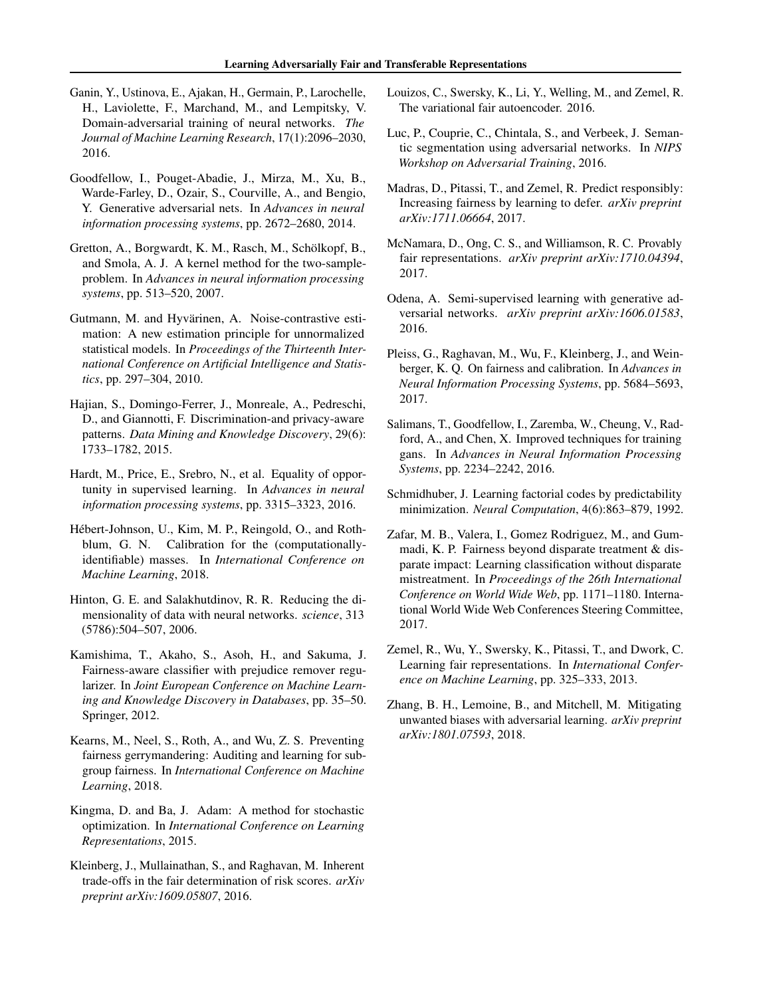- <span id="page-9-0"></span>Ganin, Y., Ustinova, E., Ajakan, H., Germain, P., Larochelle, H., Laviolette, F., Marchand, M., and Lempitsky, V. Domain-adversarial training of neural networks. *The Journal of Machine Learning Research*, 17(1):2096–2030, 2016.
- Goodfellow, I., Pouget-Abadie, J., Mirza, M., Xu, B., Warde-Farley, D., Ozair, S., Courville, A., and Bengio, Y. Generative adversarial nets. In *Advances in neural information processing systems*, pp. 2672–2680, 2014.
- Gretton, A., Borgwardt, K. M., Rasch, M., Schölkopf, B., and Smola, A. J. A kernel method for the two-sampleproblem. In *Advances in neural information processing systems*, pp. 513–520, 2007.
- Gutmann, M. and Hyvärinen, A. Noise-contrastive estimation: A new estimation principle for unnormalized statistical models. In *Proceedings of the Thirteenth International Conference on Artificial Intelligence and Statistics*, pp. 297–304, 2010.
- Hajian, S., Domingo-Ferrer, J., Monreale, A., Pedreschi, D., and Giannotti, F. Discrimination-and privacy-aware patterns. *Data Mining and Knowledge Discovery*, 29(6): 1733–1782, 2015.
- Hardt, M., Price, E., Srebro, N., et al. Equality of opportunity in supervised learning. In *Advances in neural information processing systems*, pp. 3315–3323, 2016.
- Hébert-Johnson, U., Kim, M. P., Reingold, O., and Rothblum, G. N. Calibration for the (computationallyidentifiable) masses. In *International Conference on Machine Learning*, 2018.
- Hinton, G. E. and Salakhutdinov, R. R. Reducing the dimensionality of data with neural networks. *science*, 313 (5786):504–507, 2006.
- Kamishima, T., Akaho, S., Asoh, H., and Sakuma, J. Fairness-aware classifier with prejudice remover regularizer. In *Joint European Conference on Machine Learning and Knowledge Discovery in Databases*, pp. 35–50. Springer, 2012.
- Kearns, M., Neel, S., Roth, A., and Wu, Z. S. Preventing fairness gerrymandering: Auditing and learning for subgroup fairness. In *International Conference on Machine Learning*, 2018.
- Kingma, D. and Ba, J. Adam: A method for stochastic optimization. In *International Conference on Learning Representations*, 2015.
- Kleinberg, J., Mullainathan, S., and Raghavan, M. Inherent trade-offs in the fair determination of risk scores. *arXiv preprint arXiv:1609.05807*, 2016.
- Louizos, C., Swersky, K., Li, Y., Welling, M., and Zemel, R. The variational fair autoencoder. 2016.
- Luc, P., Couprie, C., Chintala, S., and Verbeek, J. Semantic segmentation using adversarial networks. In *NIPS Workshop on Adversarial Training*, 2016.
- Madras, D., Pitassi, T., and Zemel, R. Predict responsibly: Increasing fairness by learning to defer. *arXiv preprint arXiv:1711.06664*, 2017.
- McNamara, D., Ong, C. S., and Williamson, R. C. Provably fair representations. *arXiv preprint arXiv:1710.04394*, 2017.
- Odena, A. Semi-supervised learning with generative adversarial networks. *arXiv preprint arXiv:1606.01583*, 2016.
- Pleiss, G., Raghavan, M., Wu, F., Kleinberg, J., and Weinberger, K. Q. On fairness and calibration. In *Advances in Neural Information Processing Systems*, pp. 5684–5693, 2017.
- Salimans, T., Goodfellow, I., Zaremba, W., Cheung, V., Radford, A., and Chen, X. Improved techniques for training gans. In *Advances in Neural Information Processing Systems*, pp. 2234–2242, 2016.
- Schmidhuber, J. Learning factorial codes by predictability minimization. *Neural Computation*, 4(6):863–879, 1992.
- Zafar, M. B., Valera, I., Gomez Rodriguez, M., and Gummadi, K. P. Fairness beyond disparate treatment & disparate impact: Learning classification without disparate mistreatment. In *Proceedings of the 26th International Conference on World Wide Web*, pp. 1171–1180. International World Wide Web Conferences Steering Committee, 2017.
- Zemel, R., Wu, Y., Swersky, K., Pitassi, T., and Dwork, C. Learning fair representations. In *International Conference on Machine Learning*, pp. 325–333, 2013.
- Zhang, B. H., Lemoine, B., and Mitchell, M. Mitigating unwanted biases with adversarial learning. *arXiv preprint arXiv:1801.07593*, 2018.